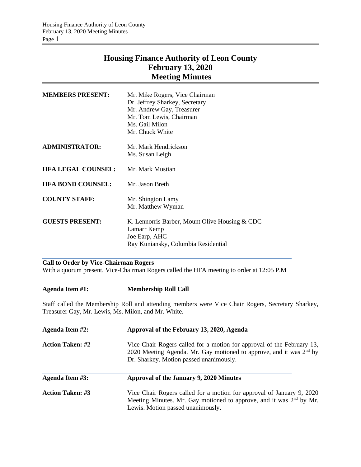# **Housing Finance Authority of Leon County February 13, 2020 Meeting Minutes**

| <b>MEMBERS PRESENT:</b>   | Mr. Mike Rogers, Vice Chairman<br>Dr. Jeffrey Sharkey, Secretary<br>Mr. Andrew Gay, Treasurer<br>Mr. Tom Lewis, Chairman<br>Ms. Gail Milon<br>Mr. Chuck White |
|---------------------------|---------------------------------------------------------------------------------------------------------------------------------------------------------------|
| ADMINISTRATOR:            | Mr. Mark Hendrickson                                                                                                                                          |
|                           | Ms. Susan Leigh                                                                                                                                               |
| <b>HFA LEGAL COUNSEL:</b> | Mr. Mark Mustian                                                                                                                                              |
| <b>HFA BOND COUNSEL:</b>  | Mr. Jason Breth                                                                                                                                               |
| <b>COUNTY STAFF:</b>      | Mr. Shington Lamy                                                                                                                                             |
|                           | Mr. Matthew Wyman                                                                                                                                             |
| <b>GUESTS PRESENT:</b>    | K. Lennorris Barber, Mount Olive Housing & CDC                                                                                                                |
|                           | Lamarr Kemp<br>Joe Earp, AHC                                                                                                                                  |
|                           | Ray Kuniansky, Columbia Residential                                                                                                                           |
|                           |                                                                                                                                                               |

# **Call to Order by Vice-Chairman Rogers**

With a quorum present, Vice-Chairman Rogers called the HFA meeting to order at 12:05 P.M

# **Agenda Item #1: Membership Roll Call**

Staff called the Membership Roll and attending members were Vice Chair Rogers, Secretary Sharkey, Treasurer Gay, Mr. Lewis, Ms. Milon, and Mr. White.

| Agenda Item #2:         | Approval of the February 13, 2020, Agenda                                                                                                                                                            |  |  |
|-------------------------|------------------------------------------------------------------------------------------------------------------------------------------------------------------------------------------------------|--|--|
| <b>Action Taken: #2</b> | Vice Chair Rogers called for a motion for approval of the February 13,<br>2020 Meeting Agenda. Mr. Gay motioned to approve, and it was 2 <sup>nd</sup> by<br>Dr. Sharkey. Motion passed unanimously. |  |  |
| Agenda Item #3:         | Approval of the January 9, 2020 Minutes                                                                                                                                                              |  |  |
| <b>Action Taken: #3</b> | Vice Chair Rogers called for a motion for approval of January 9, 2020<br>Meeting Minutes. Mr. Gay motioned to approve, and it was 2 <sup>nd</sup> by Mr.<br>Lewis. Motion passed unanimously.        |  |  |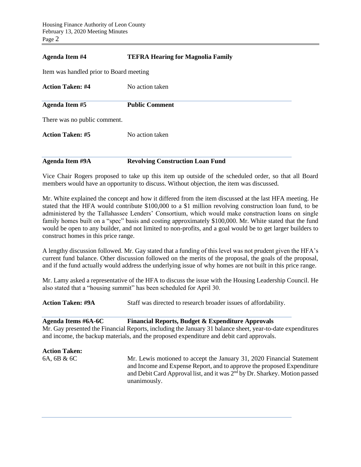## **Agenda Item #4 TEFRA Hearing for Magnolia Family**

Item was handled prior to Board meeting

| <b>Action Taken: #4</b>      | No action taken       |
|------------------------------|-----------------------|
| <b>Agenda Item #5</b>        | <b>Public Comment</b> |
| There was no public comment. |                       |
| <b>Action Taken: #5</b>      | No action taken       |
|                              |                       |

**Agenda Item #9A Revolving Construction Loan Fund**

Vice Chair Rogers proposed to take up this item up outside of the scheduled order, so that all Board members would have an opportunity to discuss. Without objection, the item was discussed.

Mr. White explained the concept and how it differed from the item discussed at the last HFA meeting. He stated that the HFA would contribute \$100,000 to a \$1 million revolving construction loan fund, to be administered by the Tallahassee Lenders' Consortium, which would make construction loans on single family homes built on a "spec" basis and costing approximately \$100,000. Mr. White stated that the fund would be open to any builder, and not limited to non-profits, and a goal would be to get larger builders to construct homes in this price range.

A lengthy discussion followed. Mr. Gay stated that a funding of this level was not prudent given the HFA's current fund balance. Other discussion followed on the merits of the proposal, the goals of the proposal, and if the fund actually would address the underlying issue of why homes are not built in this price range.

Mr. Lamy asked a representative of the HFA to discuss the issue with the Housing Leadership Council. He also stated that a "housing summit" has been scheduled for April 30.

**Action Taken: #9A** Staff was directed to research broader issues of affordability.

**Agenda Items #6A-6C Financial Reports, Budget & Expenditure Approvals**  Mr. Gay presented the Financial Reports, including the January 31 balance sheet, year-to-date expenditures and income, the backup materials, and the proposed expenditure and debit card approvals.

**Action Taken:** 

6A, 6B & 6C Mr. Lewis motioned to accept the January 31, 2020 Financial Statement and Income and Expense Report, and to approve the proposed Expenditure and Debit Card Approval list, and it was 2<sup>nd</sup> by Dr. Sharkey. Motion passed unanimously.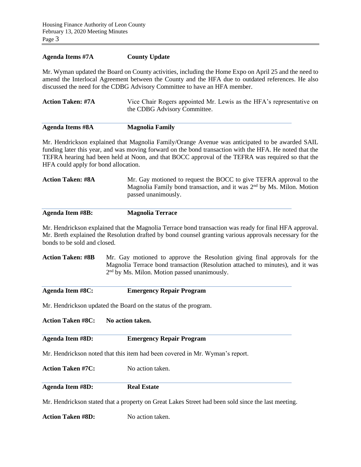#### **Agenda Items #7A County Update**

Mr. Wyman updated the Board on County activities, including the Home Expo on April 25 and the need to amend the Interlocal Agreement between the County and the HFA due to outdated references. He also discussed the need for the CDBG Advisory Committee to have an HFA member.

| <b>Action Taken: #7A</b> | Vice Chair Rogers appointed Mr. Lewis as the HFA's representative on |
|--------------------------|----------------------------------------------------------------------|
|                          | the CDBG Advisory Committee.                                         |
|                          |                                                                      |

| <b>Agenda Items #8A</b> | <b>Magnolia Family</b> |
|-------------------------|------------------------|
|                         |                        |

Mr. Hendrickson explained that Magnolia Family/Orange Avenue was anticipated to be awarded SAIL funding later this year, and was moving forward on the bond transaction with the HFA. He noted that the TEFRA hearing had been held at Noon, and that BOCC approval of the TEFRA was required so that the HFA could apply for bond allocation.

| Mr. Gay motioned to request the BOCC to give TEFRA approval to the      |
|-------------------------------------------------------------------------|
| Magnolia Family bond transaction, and it was $2nd$ by Ms. Milon. Motion |
| passed unanimously.                                                     |
|                                                                         |

**Agenda Item #8B: Magnolia Terrace**

Mr. Hendrickson explained that the Magnolia Terrace bond transaction was ready for final HFA approval. Mr. Breth explained the Resolution drafted by bond counsel granting various approvals necessary for the bonds to be sold and closed.

**Action Taken: #8B** Mr. Gay motioned to approve the Resolution giving final approvals for the Magnolia Terrace bond transaction (Resolution attached to minutes), and it was 2<sup>nd</sup> by Ms. Milon. Motion passed unanimously.

| Agenda Item #8C: | <b>Emergency Repair Program</b> |
|------------------|---------------------------------|
|                  |                                 |

Mr. Hendrickson updated the Board on the status of the program.

**Action Taken #8C: No action taken.**

### **Agenda Item #8D: Emergency Repair Program**

Mr. Hendrickson noted that this item had been covered in Mr. Wyman's report.

**Action Taken #7C:** No action taken.

**Agenda Item #8D: Real Estate**

Mr. Hendrickson stated that a property on Great Lakes Street had been sold since the last meeting.

**Action Taken #8D:** No action taken.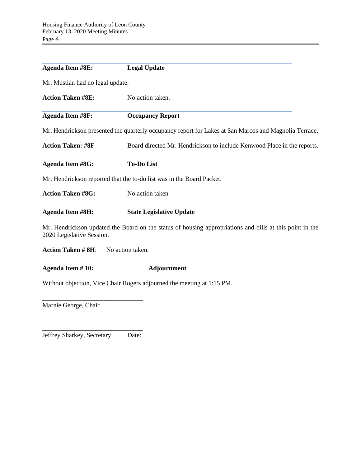| <b>Agenda Item #8E:</b>                                                                             | <b>Legal Update</b>                                                                                      |  |  |
|-----------------------------------------------------------------------------------------------------|----------------------------------------------------------------------------------------------------------|--|--|
| Mr. Mustian had no legal update.                                                                    |                                                                                                          |  |  |
| <b>Action Taken #8E:</b>                                                                            | No action taken.                                                                                         |  |  |
| <b>Agenda Item #8F:</b>                                                                             | <b>Occupancy Report</b>                                                                                  |  |  |
|                                                                                                     | Mr. Hendrickson presented the quarterly occupancy report for Lakes at San Marcos and Magnolia Terrace.   |  |  |
| <b>Action Taken: #8F</b><br>Board directed Mr. Hendrickson to include Kenwood Place in the reports. |                                                                                                          |  |  |
| <b>Agenda Item #8G:</b>                                                                             | <b>To-Do List</b>                                                                                        |  |  |
|                                                                                                     | Mr. Hendrickson reported that the to-do list was in the Board Packet.                                    |  |  |
| <b>Action Taken #8G:</b>                                                                            | No action taken                                                                                          |  |  |
| <b>Agenda Item #8H:</b>                                                                             | <b>State Legislative Update</b>                                                                          |  |  |
| 2020 Legislative Session.                                                                           | Mr. Hendrickson updated the Board on the status of housing appropriations and bills at this point in the |  |  |

**Action Taken # 8H**: No action taken.

**Agenda Item # 10: Adjournment**

Without objection, Vice Chair Rogers adjourned the meeting at 1:15 PM.

Marnie George, Chair

\_\_\_\_\_\_\_\_\_\_\_\_\_\_\_\_\_\_\_\_\_\_\_\_\_\_\_\_\_\_\_ Jeffrey Sharkey, Secretary Date:

\_\_\_\_\_\_\_\_\_\_\_\_\_\_\_\_\_\_\_\_\_\_\_\_\_\_\_\_\_\_\_